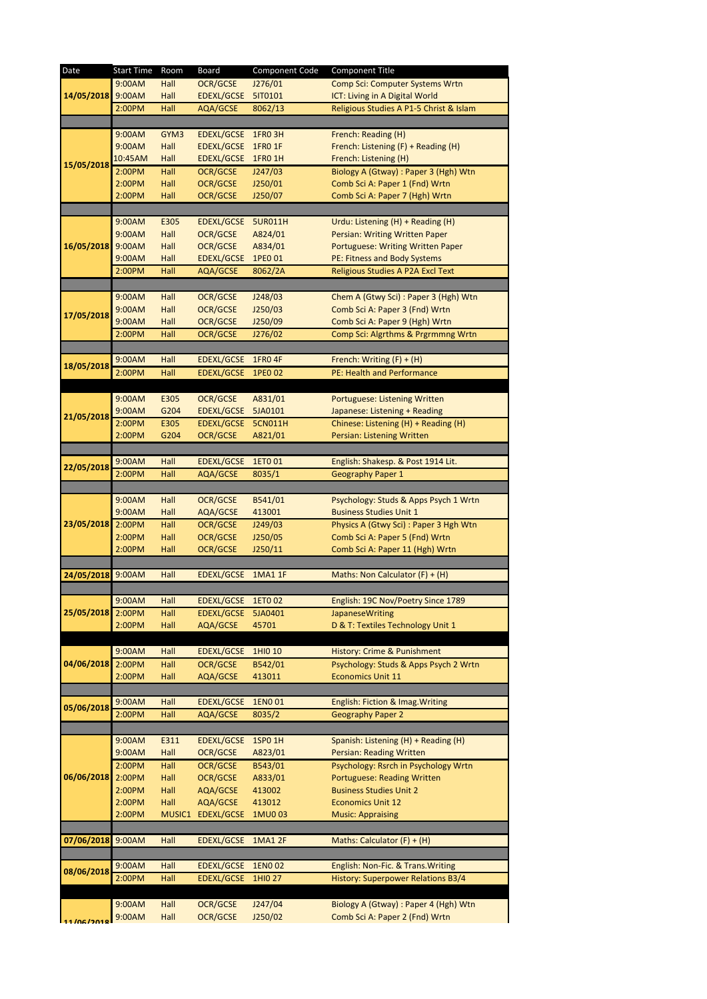| Date              | <b>Start Time</b> | Room   | Board              | Component Code | <b>Component Title</b>                  |
|-------------------|-------------------|--------|--------------------|----------------|-----------------------------------------|
|                   | 9:00AM            | Hall   | <b>OCR/GCSE</b>    | J276/01        | <b>Comp Sci: Computer Systems Wrtn</b>  |
| 14/05/2018 9:00AM |                   | Hall   | <b>EDEXL/GCSE</b>  | 5IT0101        | ICT: Living in A Digital World          |
|                   | 2:00PM            | Hall   | AQA/GCSE           | 8062/13        | Religious Studies A P1-5 Christ & Islam |
|                   |                   |        |                    |                |                                         |
|                   |                   | GYM3   | EDEXL/GCSE 1FR0 3H |                |                                         |
|                   | 9:00AM            |        |                    |                | French: Reading (H)                     |
|                   | 9:00AM            | Hall   | EDEXL/GCSE         | 1FR0 1F        | French: Listening (F) + Reading (H)     |
| 15/05/2018        | 10:45AM           | Hall   | <b>EDEXL/GCSE</b>  | <b>1FRO 1H</b> | French: Listening (H)                   |
|                   | 2:00PM            | Hall   | <b>OCR/GCSE</b>    | J247/03        | Biology A (Gtway) : Paper 3 (Hgh) Wtn   |
|                   | 2:00PM            | Hall   | <b>OCR/GCSE</b>    | J250/01        | Comb Sci A: Paper 1 (Fnd) Wrtn          |
|                   | 2:00PM            | Hall   | <b>OCR/GCSE</b>    | J250/07        | Comb Sci A: Paper 7 (Hgh) Wrtn          |
|                   |                   |        |                    |                |                                         |
| 16/05/2018        | 9:00AM            | E305   | EDEXL/GCSE 5UR011H |                | Urdu: Listening (H) + Reading (H)       |
|                   | 9:00AM            | Hall   | <b>OCR/GCSE</b>    | A824/01        | Persian: Writing Written Paper          |
|                   | 9:00AM            | Hall   | <b>OCR/GCSE</b>    | A834/01        | Portuguese: Writing Written Paper       |
|                   | 9:00AM            | Hall   | <b>EDEXL/GCSE</b>  |                |                                         |
|                   |                   |        |                    | 1PE0 01        | PE: Fitness and Body Systems            |
|                   | 2:00PM            | Hall   | AQA/GCSE           | 8062/2A        | Religious Studies A P2A Excl Text       |
|                   |                   |        |                    |                |                                         |
|                   | 9:00AM            | Hall   | <b>OCR/GCSE</b>    | J248/03        | Chem A (Gtwy Sci) : Paper 3 (Hgh) Wtn   |
|                   | 9:00AM            | Hall   | <b>OCR/GCSE</b>    | J250/03        | Comb Sci A: Paper 3 (Fnd) Wrtn          |
| 17/05/2018        | 9:00AM            | Hall   | <b>OCR/GCSE</b>    | J250/09        | Comb Sci A: Paper 9 (Hgh) Wrtn          |
|                   | 2:00PM            | Hall   | <b>OCR/GCSE</b>    | J276/02        | Comp Sci: Algrthms & Prgrmmng Wrtn      |
|                   |                   |        |                    |                |                                         |
|                   |                   |        |                    |                |                                         |
| 18/05/2018        | 9:00AM            | Hall   | <b>EDEXL/GCSE</b>  | <b>1FRO 4F</b> | French: Writing $(F) + (H)$             |
|                   | 2:00PM            | Hall   | <b>EDEXL/GCSE</b>  | 1PE0 02        | PE: Health and Performance              |
|                   |                   |        |                    |                |                                         |
|                   | 9:00AM            | E305   | <b>OCR/GCSE</b>    | A831/01        | Portuguese: Listening Written           |
|                   | 9:00AM            | G204   | EDEXL/GCSE         | 5JA0101        | Japanese: Listening + Reading           |
| 21/05/2018        | 2:00PM            | E305   | <b>EDEXL/GCSE</b>  | 5CN011H        | Chinese: Listening (H) + Reading (H)    |
|                   | 2:00PM            | G204   | <b>OCR/GCSE</b>    | A821/01        | Persian: Listening Written              |
|                   |                   |        |                    |                |                                         |
|                   | 9:00AM            | Hall   | <b>EDEXL/GCSE</b>  | 1ETO 01        | English: Shakesp. & Post 1914 Lit.      |
| 22/05/2018        | 2:00PM            | Hall   | AQA/GCSE           | 8035/1         |                                         |
|                   |                   |        |                    |                | <b>Geography Paper 1</b>                |
| 23/05/2018 2:00PM |                   |        |                    |                |                                         |
|                   | 9:00AM            | Hall   | <b>OCR/GCSE</b>    | B541/01        | Psychology: Studs & Apps Psych 1 Wrtn   |
|                   | 9:00AM            | Hall   | AQA/GCSE           | 413001         | <b>Business Studies Unit 1</b>          |
|                   |                   | Hall   | <b>OCR/GCSE</b>    | J249/03        | Physics A (Gtwy Sci): Paper 3 Hgh Wtn   |
|                   | 2:00PM            | Hall   | <b>OCR/GCSE</b>    | J250/05        | Comb Sci A: Paper 5 (Fnd) Wrtn          |
|                   | 2:00PM            | Hall   | <b>OCR/GCSE</b>    | J250/11        | Comb Sci A: Paper 11 (Hgh) Wrtn         |
|                   |                   |        |                    |                |                                         |
| 24/05/2018        | 9:00AM            | Hall   | <b>EDEXL/GCSE</b>  | <b>1MA1 1F</b> | Maths: Non Calculator $(F) + (H)$       |
|                   |                   |        |                    |                |                                         |
|                   | 9:00AM            | Hall   | <b>EDEXL/GCSE</b>  | 1ETO 02        | English: 19C Nov/Poetry Since 1789      |
| 25/05/2018        |                   |        |                    |                |                                         |
|                   | 2:00PM            | Hall   | <b>EDEXL/GCSE</b>  | 5JA0401        | <b>JapaneseWriting</b>                  |
|                   | 2:00PM            | Hall   | AQA/GCSE           | 45701          | D & T: Textiles Technology Unit 1       |
|                   |                   |        |                    |                |                                         |
| 04/06/2018        | 9:00AM            | Hall   | <b>EDEXL/GCSE</b>  | 1HIO 10        | History: Crime & Punishment             |
|                   | 2:00PM            | Hall   | <b>OCR/GCSE</b>    | B542/01        | Psychology: Studs & Apps Psych 2 Wrtn   |
|                   | 2:00PM            | Hall   | AQA/GCSE           | 413011         | <b>Economics Unit 11</b>                |
|                   |                   |        |                    |                |                                         |
|                   | 9:00AM            | Hall   | <b>EDEXL/GCSE</b>  | 1ENO 01        | English: Fiction & Imag. Writing        |
| 05/06/2018        | 2:00PM            | Hall   | AQA/GCSE           | 8035/2         | <b>Geography Paper 2</b>                |
|                   |                   |        |                    |                |                                         |
| 06/06/2018        |                   |        |                    |                |                                         |
|                   | 9:00AM            | E311   | <b>EDEXL/GCSE</b>  | <b>1SPO 1H</b> | Spanish: Listening (H) + Reading (H)    |
|                   | 9:00AM            | Hall   | OCR/GCSE           | A823/01        | Persian: Reading Written                |
|                   | 2:00PM            | Hall   | <b>OCR/GCSE</b>    | B543/01        | Psychology: Rsrch in Psychology Wrtn    |
|                   | 2:00PM            | Hall   | <b>OCR/GCSE</b>    | A833/01        | <b>Portuguese: Reading Written</b>      |
|                   | 2:00PM            | Hall   | AQA/GCSE           | 413002         | <b>Business Studies Unit 2</b>          |
|                   | 2:00PM            | Hall   | AQA/GCSE           | 413012         | <b>Economics Unit 12</b>                |
|                   | 2:00PM            | MUSIC1 | EDEXL/GCSE         | 1MU003         | <b>Music: Appraising</b>                |
|                   |                   |        |                    |                |                                         |
|                   |                   |        |                    |                |                                         |
| 07/06/2018        | 9:00AM            | Hall   | <b>EDEXL/GCSE</b>  | <b>1MA1 2F</b> | Maths: Calculator $(F) + (H)$           |
|                   |                   |        |                    |                |                                         |
| 08/06/2018        | 9:00AM            | Hall   | <b>EDEXL/GCSE</b>  | 1ENO 02        | English: Non-Fic. & Trans. Writing      |
|                   | 2:00PM            | Hall   | <b>EDEXL/GCSE</b>  | 1HI0 27        | History: Superpower Relations B3/4      |
|                   |                   |        |                    |                |                                         |
|                   | 9:00AM            | Hall   | <b>OCR/GCSE</b>    | J247/04        | Biology A (Gtway) : Paper 4 (Hgh) Wtn   |
|                   | 9:00AM            | Hall   | OCR/GCSE           | J250/02        | Comb Sci A: Paper 2 (Fnd) Wrtn          |
|                   |                   |        |                    |                |                                         |